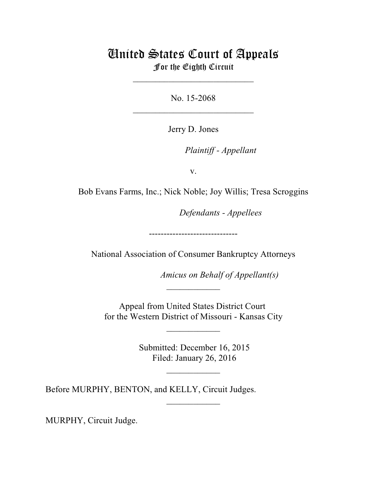## United States Court of Appeals For the Eighth Circuit

\_\_\_\_\_\_\_\_\_\_\_\_\_\_\_\_\_\_\_\_\_\_\_\_\_\_\_

No. 15-2068  $\mathcal{L}_\text{max}$  , which is a set of the set of the set of the set of the set of the set of the set of the set of the set of the set of the set of the set of the set of the set of the set of the set of the set of the set of

Jerry D. Jones

lllllllllllllllllllll *Plaintiff - Appellant*

v.

Bob Evans Farms, Inc.; Nick Noble; Joy Willis; Tresa Scroggins

**Defendants - Appellees** 

------------------------------

National Association of Consumer Bankruptcy Attorneys

*Amicus on Behalf of Appellant(s)* 

Appeal from United States District Court for the Western District of Missouri - Kansas City

\_\_\_\_\_\_\_\_\_\_\_\_

 $\frac{1}{2}$ 

 Submitted: December 16, 2015 Filed: January 26, 2016

 $\frac{1}{2}$ 

\_\_\_\_\_\_\_\_\_\_\_\_

Before MURPHY, BENTON, and KELLY, Circuit Judges.

MURPHY, Circuit Judge.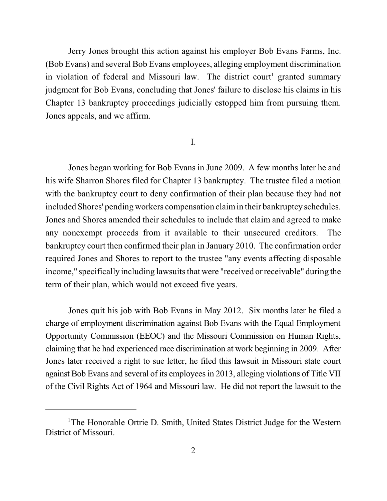Jerry Jones brought this action against his employer Bob Evans Farms, Inc. (Bob Evans) and several Bob Evans employees, alleging employment discrimination in violation of federal and Missouri law. The district court<sup>1</sup> granted summary judgment for Bob Evans, concluding that Jones' failure to disclose his claims in his Chapter 13 bankruptcy proceedings judicially estopped him from pursuing them. Jones appeals, and we affirm.

## I.

Jones began working for Bob Evans in June 2009. A few months later he and his wife Sharron Shores filed for Chapter 13 bankruptcy. The trustee filed a motion with the bankruptcy court to deny confirmation of their plan because they had not included Shores' pending workers compensation claimin their bankruptcy schedules. Jones and Shores amended their schedules to include that claim and agreed to make any nonexempt proceeds from it available to their unsecured creditors. The bankruptcy court then confirmed their plan in January 2010. The confirmation order required Jones and Shores to report to the trustee "any events affecting disposable income," specifically including lawsuits that were "received orreceivable" during the term of their plan, which would not exceed five years.

Jones quit his job with Bob Evans in May 2012. Six months later he filed a charge of employment discrimination against Bob Evans with the Equal Employment Opportunity Commission (EEOC) and the Missouri Commission on Human Rights, claiming that he had experienced race discrimination at work beginning in 2009. After Jones later received a right to sue letter, he filed this lawsuit in Missouri state court against Bob Evans and several of its employeesin 2013, alleging violations of Title VII of the Civil Rights Act of 1964 and Missouri law. He did not report the lawsuit to the

<sup>&</sup>lt;sup>1</sup>The Honorable Ortrie D. Smith, United States District Judge for the Western District of Missouri.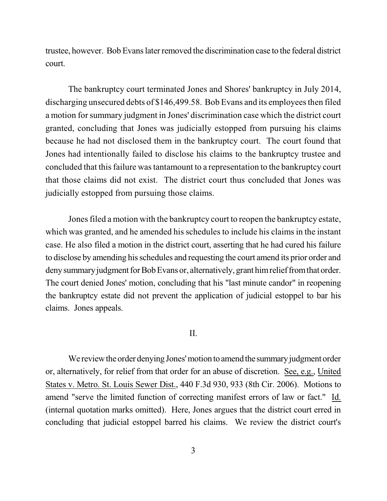trustee, however. Bob Evanslater removed the discrimination case to the federal district court.

The bankruptcy court terminated Jones and Shores' bankruptcy in July 2014, discharging unsecured debts of \$146,499.58. Bob Evans and its employees then filed a motion for summary judgment in Jones' discrimination case which the district court granted, concluding that Jones was judicially estopped from pursuing his claims because he had not disclosed them in the bankruptcy court. The court found that Jones had intentionally failed to disclose his claims to the bankruptcy trustee and concluded that thisfailure wastantamount to a representation to the bankruptcy court that those claims did not exist. The district court thus concluded that Jones was judicially estopped from pursuing those claims.

Jones filed a motion with the bankruptcy court to reopen the bankruptcy estate, which was granted, and he amended his schedules to include his claims in the instant case. He also filed a motion in the district court, asserting that he had cured his failure to disclose by amending hisschedules and requesting the court amend its prior order and deny summary judgment for Bob Evans or, alternatively, grant himrelief from that order. The court denied Jones' motion, concluding that his "last minute candor" in reopening the bankruptcy estate did not prevent the application of judicial estoppel to bar his claims. Jones appeals.

## II.

We review the order denying Jones' motion to amend the summary judgment order or, alternatively, for relief from that order for an abuse of discretion. See, e.g., United States v. Metro. St. Louis Sewer Dist., 440 F.3d 930, 933 (8th Cir. 2006). Motions to amend "serve the limited function of correcting manifest errors of law or fact." Id. (internal quotation marks omitted). Here, Jones argues that the district court erred in concluding that judicial estoppel barred his claims. We review the district court's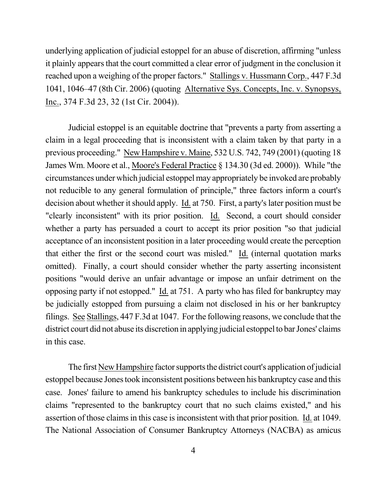underlying application of judicial estoppel for an abuse of discretion, affirming "unless it plainly appears that the court committed a clear error of judgment in the conclusion it reached upon a weighing of the proper factors." Stallings v. Hussmann Corp., 447 F.3d 1041, 1046–47 (8th Cir. 2006) (quoting Alternative Sys. Concepts, Inc. v. Synopsys, Inc., 374 F.3d 23, 32 (1st Cir. 2004)).

Judicial estoppel is an equitable doctrine that "prevents a party from asserting a claim in a legal proceeding that is inconsistent with a claim taken by that party in a previous proceeding." New Hampshire v. Maine, 532 U.S. 742, 749 (2001) (quoting 18 James Wm. Moore et al., Moore's Federal Practice § 134.30 (3d ed. 2000)). While "the circumstances under which judicial estoppel may appropriately be invoked are probably not reducible to any general formulation of principle," three factors inform a court's decision about whether it should apply. Id. at 750. First, a party's later position must be "clearly inconsistent" with its prior position. Id. Second, a court should consider whether a party has persuaded a court to accept its prior position "so that judicial acceptance of an inconsistent position in a later proceeding would create the perception that either the first or the second court was misled." Id. (internal quotation marks omitted). Finally, a court should consider whether the party asserting inconsistent positions "would derive an unfair advantage or impose an unfair detriment on the opposing party if not estopped." Id. at 751. A party who has filed for bankruptcy may be judicially estopped from pursuing a claim not disclosed in his or her bankruptcy filings. See Stallings, 447 F.3d at 1047. For the following reasons, we conclude that the district court did not abuse its discretion in applying judicial estoppelto bar Jones' claims in this case.

The first New Hampshire factor supports the district court's application of judicial estoppel because Jonestook inconsistent positions between his bankruptcy case and this case. Jones' failure to amend his bankruptcy schedules to include his discrimination claims "represented to the bankruptcy court that no such claims existed," and his assertion of those claims in this case is inconsistent with that prior position. Id. at 1049. The National Association of Consumer Bankruptcy Attorneys (NACBA) as amicus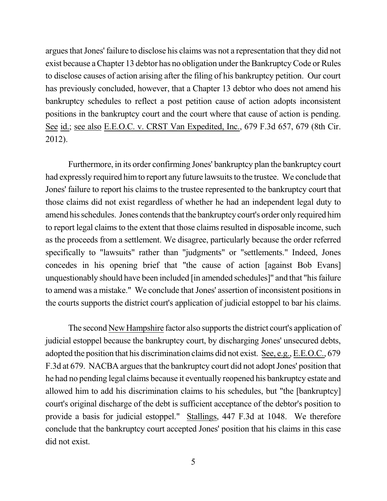argues that Jones' failure to disclose his claims was not a representation that they did not exist because a Chapter 13 debtor has no obligation under the Bankruptcy Code or Rules to disclose causes of action arising after the filing of his bankruptcy petition. Our court has previously concluded, however, that a Chapter 13 debtor who does not amend his bankruptcy schedules to reflect a post petition cause of action adopts inconsistent positions in the bankruptcy court and the court where that cause of action is pending. See id.; see also E.E.O.C. v. CRST Van Expedited, Inc., 679 F.3d 657, 679 (8th Cir. 2012).

Furthermore, in its order confirming Jones' bankruptcy plan the bankruptcy court had expressly required him to report any future lawsuits to the trustee. We conclude that Jones' failure to report his claims to the trustee represented to the bankruptcy court that those claims did not exist regardless of whether he had an independent legal duty to amend his schedules. Jones contends that the bankruptcy court's order only required him to report legal claims to the extent that those claims resulted in disposable income, such as the proceeds from a settlement. We disagree, particularly because the order referred specifically to "lawsuits" rather than "judgments" or "settlements." Indeed, Jones concedes in his opening brief that "the cause of action [against Bob Evans] unquestionably should have been included [in amended schedules]" and that "his failure to amend was a mistake." We conclude that Jones' assertion of inconsistent positions in the courts supports the district court's application of judicial estoppel to bar his claims.

The second New Hampshire factor also supports the district court's application of judicial estoppel because the bankruptcy court, by discharging Jones' unsecured debts, adopted the position that his discrimination claims did not exist. See, e.g., E.E.O.C., 679 F.3d at 679. NACBA argues that the bankruptcy court did not adopt Jones' position that he had no pending legal claims because it eventually reopened his bankruptcy estate and allowed him to add his discrimination claims to his schedules, but "the [bankruptcy] court's original discharge of the debt is sufficient acceptance of the debtor's position to provide a basis for judicial estoppel." Stallings, 447 F.3d at 1048. We therefore conclude that the bankruptcy court accepted Jones' position that his claims in this case did not exist.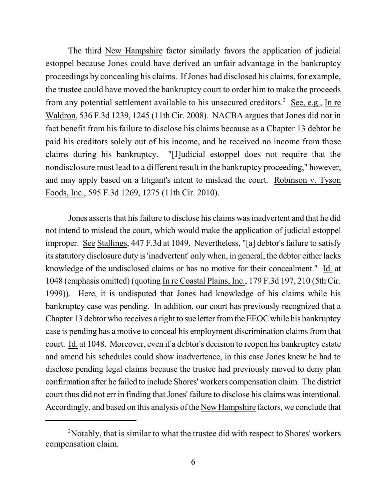The third New Hampshire factor similarly favors the application of judicial estoppel because Jones could have derived an unfair advantage in the bankruptcy proceedings by concealing his claims. If Jones had disclosed his claims, for example, the trustee could have moved the bankruptcy court to order him to make the proceeds from any potential settlement available to his unsecured creditors.<sup>2</sup> See, e.g., In re Waldron, 536 F.3d 1239, 1245 (11th Cir. 2008). NACBA argues that Jones did not in fact benefit from his failure to disclose his claims because as a Chapter 13 debtor he paid his creditors solely out of his income, and he received no income from those claims during his bankruptcy. "[J]udicial estoppel does not require that the nondisclosure must lead to a different result in the bankruptcy proceeding," however, and may apply based on a litigant's intent to mislead the court. Robinson v. Tyson Foods, Inc., 595 F.3d 1269, 1275 (11th Cir. 2010).

Jones asserts that his failure to disclose his claims was inadvertent and that he did not intend to mislead the court, which would make the application of judicial estoppel improper. See Stallings, 447 F.3d at 1049. Nevertheless, "[a] debtor's failure to satisfy its statutory disclosure duty is 'inadvertent' only when, in general, the debtor either lacks knowledge of the undisclosed claims or has no motive for their concealment." Id. at 1048 (emphasis omitted) (quoting In re Coastal Plains, Inc., 179 F.3d 197, 210 (5th Cir. 1999)). Here, it is undisputed that Jones had knowledge of his claims while his bankruptcy case was pending. In addition, our court has previously recognized that a Chapter 13 debtor who receives a right to sue letter fromtheEEOCwhile his bankruptcy case is pending has a motive to conceal his employment discrimination claims from that court. Id. at 1048. Moreover, even if a debtor's decision to reopen his bankruptcy estate and amend his schedules could show inadvertence, in this case Jones knew he had to disclose pending legal claims because the trustee had previously moved to deny plan confirmation after he failed to include Shores' workers compensation claim. The district court thus did not err in finding that Jones' failure to disclose his claims was intentional. Accordingly, and based on this analysis of the New Hampshire factors, we conclude that

<sup>&</sup>lt;sup>2</sup>Notably, that is similar to what the trustee did with respect to Shores' workers compensation claim.